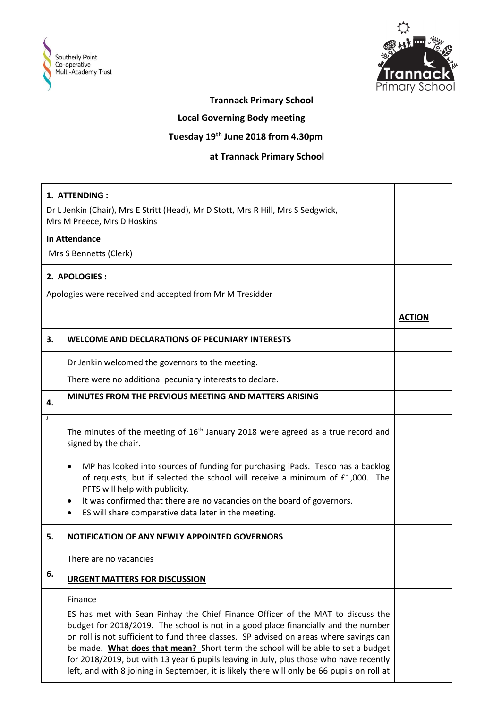



## **Trannack Primary School**

 **Local Governing Body meeting**

## **Tuesday 19th June 2018 from 4.30pm**

## **at Trannack Primary School**

| 1. ATTENDING :<br>Dr L Jenkin (Chair), Mrs E Stritt (Head), Mr D Stott, Mrs R Hill, Mrs S Sedgwick, |                                                                                                                                                                                                                                                                                                                                                                                                                                                                                                                                                         |               |  |
|-----------------------------------------------------------------------------------------------------|---------------------------------------------------------------------------------------------------------------------------------------------------------------------------------------------------------------------------------------------------------------------------------------------------------------------------------------------------------------------------------------------------------------------------------------------------------------------------------------------------------------------------------------------------------|---------------|--|
| Mrs M Preece, Mrs D Hoskins                                                                         |                                                                                                                                                                                                                                                                                                                                                                                                                                                                                                                                                         |               |  |
| <b>In Attendance</b>                                                                                |                                                                                                                                                                                                                                                                                                                                                                                                                                                                                                                                                         |               |  |
| Mrs S Bennetts (Clerk)                                                                              |                                                                                                                                                                                                                                                                                                                                                                                                                                                                                                                                                         |               |  |
| 2. APOLOGIES:                                                                                       |                                                                                                                                                                                                                                                                                                                                                                                                                                                                                                                                                         |               |  |
| Apologies were received and accepted from Mr M Tresidder                                            |                                                                                                                                                                                                                                                                                                                                                                                                                                                                                                                                                         |               |  |
|                                                                                                     |                                                                                                                                                                                                                                                                                                                                                                                                                                                                                                                                                         | <b>ACTION</b> |  |
| 3.                                                                                                  | <b>WELCOME AND DECLARATIONS OF PECUNIARY INTERESTS</b>                                                                                                                                                                                                                                                                                                                                                                                                                                                                                                  |               |  |
|                                                                                                     | Dr Jenkin welcomed the governors to the meeting.                                                                                                                                                                                                                                                                                                                                                                                                                                                                                                        |               |  |
|                                                                                                     | There were no additional pecuniary interests to declare.                                                                                                                                                                                                                                                                                                                                                                                                                                                                                                |               |  |
| 4.                                                                                                  | MINUTES FROM THE PREVIOUS MEETING AND MATTERS ARISING                                                                                                                                                                                                                                                                                                                                                                                                                                                                                                   |               |  |
| $\mathbf{J}$                                                                                        | The minutes of the meeting of $16th$ January 2018 were agreed as a true record and<br>signed by the chair.<br>MP has looked into sources of funding for purchasing iPads. Tesco has a backlog<br>$\bullet$<br>of requests, but if selected the school will receive a minimum of £1,000. The<br>PFTS will help with publicity.                                                                                                                                                                                                                           |               |  |
|                                                                                                     | It was confirmed that there are no vacancies on the board of governors.<br>٠<br>ES will share comparative data later in the meeting.<br>٠                                                                                                                                                                                                                                                                                                                                                                                                               |               |  |
| 5.                                                                                                  | NOTIFICATION OF ANY NEWLY APPOINTED GOVERNORS                                                                                                                                                                                                                                                                                                                                                                                                                                                                                                           |               |  |
|                                                                                                     | There are no vacancies                                                                                                                                                                                                                                                                                                                                                                                                                                                                                                                                  |               |  |
| 6.                                                                                                  | <b>URGENT MATTERS FOR DISCUSSION</b>                                                                                                                                                                                                                                                                                                                                                                                                                                                                                                                    |               |  |
|                                                                                                     | Finance<br>ES has met with Sean Pinhay the Chief Finance Officer of the MAT to discuss the<br>budget for 2018/2019. The school is not in a good place financially and the number<br>on roll is not sufficient to fund three classes. SP advised on areas where savings can<br>be made. What does that mean? Short term the school will be able to set a budget<br>for 2018/2019, but with 13 year 6 pupils leaving in July, plus those who have recently<br>left, and with 8 joining in September, it is likely there will only be 66 pupils on roll at |               |  |